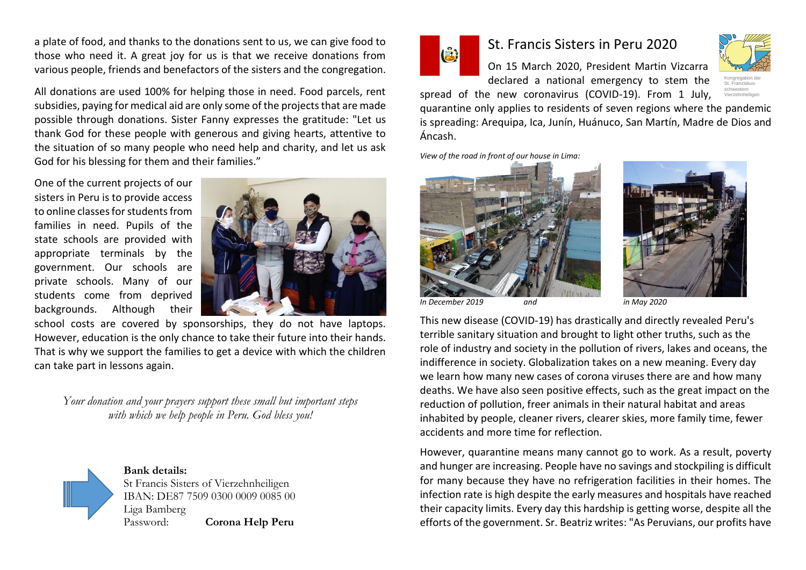a plate of food, and thanks to the donations sent to us, we can give food to those who need it. A great joy for us is that we receive donations from various people, friends and benefactors of the sisters and the congregation.

All donations are used 100% for helping those in need. Food parcels, rent subsidies, paying for medical aid are only some of the projects that are made possible through donations. Sister Fanny expresses the gratitude: "Let us thank God for these people with generous and giving hearts, attentive to the situation of so many people who need help and charity, and let us ask God for his blessing for them and their families."

One of the current projects of our sisters in Peru is to provide access to online classes for students from families in need. Pupils of the state schools are provided with appropriate terminals by the government. Our schools are private schools. Many of our students come from deprived backgrounds. Although their



school costs are covered by sponsorships, they do not have laptops. However, education is the only chance to take their future into their hands. That is why we support the families to get a device with which the children can take part in lessons again.

*Your donation and your prayers support these small but important steps with which we help people in Peru. God bless you!*



**Bank details:** St Francis Sisters of Vierzehnheiligen IBAN: DE87 7509 0300 0009 0085 00 Liga Bamberg Password: **Corona Help Peru**



Áncash.

## St. Francis Sisters in Peru 2020

On 15 March 2020, President Martin Vizcarra declared a national emergency to stem the



spread of the new coronavirus (COVID-19). From 1 July, quarantine only applies to residents of seven regions where the pandemic is spreading: Arequipa, Ica, Junín, Huánuco, San Martín, Madre de Dios and Vierzehnheiligen

*View of the road in front of our house in Lima:* 





*In December 2019 and in May 2020*

This new disease (COVID-19) has drastically and directly revealed Peru's terrible sanitary situation and brought to light other truths, such as the role of industry and society in the pollution of rivers, lakes and oceans, the indifference in society. Globalization takes on a new meaning. Every day we learn how many new cases of corona viruses there are and how many deaths. We have also seen positive effects, such as the great impact on the reduction of pollution, freer animals in their natural habitat and areas inhabited by people, cleaner rivers, clearer skies, more family time, fewer accidents and more time for reflection.

However, quarantine means many cannot go to work. As a result, poverty and hunger are increasing. People have no savings and stockpiling is difficult for many because they have no refrigeration facilities in their homes. The infection rate is high despite the early measures and hospitals have reached their capacity limits. Every day this hardship is getting worse, despite all the efforts of the government. Sr. Beatriz writes: "As Peruvians, our profits have